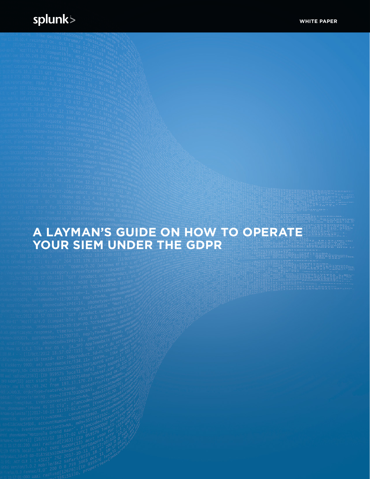# **A LAYMAN'S GUIDE ON HOW TO OPERATE YOUR SIEM UNDER THE GDPR**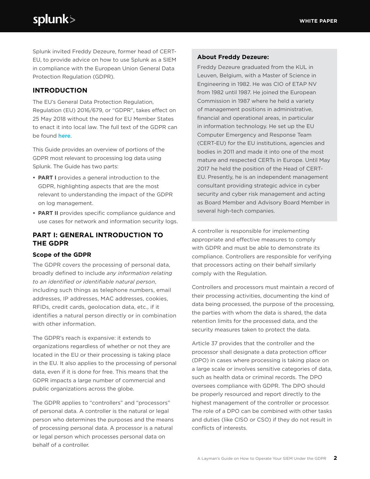Splunk invited Freddy Dezeure, former head of CERT-EU, to provide advice on how to use Splunk as a SIEM in compliance with the European Union General Data Protection Regulation (GDPR).

# **INTRODUCTION**

The EU's General Data Protection Regulation, Regulation (EU) 2016/679, or "GDPR", takes effect on 25 May 2018 without the need for EU Member States to enact it into local law. The full text of the GDPR can be found here.

This Guide provides an overview of portions of the GDPR most relevant to processing log data using Splunk. The Guide has two parts:

- **• PART I** provides a general introduction to the GDPR, highlighting aspects that are the most relevant to understanding the impact of the GDPR on log management.
- **• PART II** provides specific compliance guidance and use cases for network and information security logs.

# **PART I: GENERAL INTRODUCTION TO THE GDPR**

### **Scope of the GDPR**

The GDPR covers the processing of personal data, broadly defined to include *any information relating to an identified or identifiable natural person*, including such things as telephone numbers, email addresses, IP addresses, MAC addresses, cookies, RFIDs, credit cards, geolocation data, etc., if it identifies a natural person directly or in combination with other information.

The GDPR's reach is expansive: it extends to organizations regardless of whether or not they are located in the EU or their processing is taking place in the EU. It also applies to the processing of personal data, even if it is done for free. This means that the GDPR impacts a large number of commercial and public organizations across the globe.

The GDPR applies to "controllers" and "processors" of personal data. A controller is the natural or legal person who determines the purposes and the means of processing personal data. A processor is a natural or legal person which processes personal data on behalf of a controller.

#### **About Freddy Dezeure:**

Freddy Dezeure graduated from the KUL in Leuven, Belgium, with a Master of Science in Engineering in 1982. He was CIO of ETAP NV from 1982 until 1987. He joined the European Commission in 1987 where he held a variety of management positions in administrative, financial and operational areas, in particular in information technology. He set up the EU Computer Emergency and Response Team (CERT-EU) for the EU institutions, agencies and bodies in 2011 and made it into one of the most mature and respected CERTs in Europe. Until May 2017 he held the position of the Head of CERT-EU. Presently, he is an independent management consultant providing strategic advice in cyber security and cyber risk management and acting as Board Member and Advisory Board Member in several high-tech companies.

A controller is responsible for implementing appropriate and effective measures to comply with GDPR and must be able to demonstrate its compliance. Controllers are responsible for verifying that processors acting on their behalf similarly comply with the Regulation.

Controllers and processors must maintain a record of their processing activities, documenting the kind of data being processed, the purpose of the processing, the parties with whom the data is shared, the data retention limits for the processed data, and the security measures taken to protect the data.

Article 37 provides that the controller and the processor shall designate a data protection officer (DPO) in cases where processing is taking place on a large scale or involves sensitive categories of data, such as health data or criminal records. The DPO oversees compliance with GDPR. The DPO should be properly resourced and report directly to the highest management of the controller or processor. The role of a DPO can be combined with other tasks and duties (like CISO or CSO) if they do not result in conflicts of interests.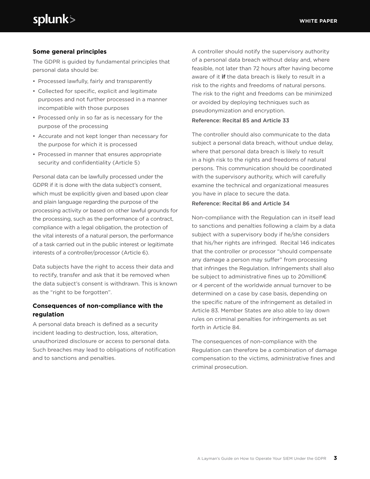#### **Some general principles**

The GDPR is guided by fundamental principles that personal data should be:

- Processed lawfully, fairly and transparently
- Collected for specific, explicit and legitimate purposes and not further processed in a manner incompatible with those purposes
- Processed only in so far as is necessary for the purpose of the processing
- Accurate and not kept longer than necessary for the purpose for which it is processed
- Processed in manner that ensures appropriate security and confidentiality (Article 5)

Personal data can be lawfully processed under the GDPR if it is done with the data subject's consent, which must be explicitly given and based upon clear and plain language regarding the purpose of the processing activity or based on other lawful grounds for the processing, such as the performance of a contract, compliance with a legal obligation, the protection of the vital interests of a natural person, the performance of a task carried out in the public interest or legitimate interests of a controller/processor (Article 6).

Data subjects have the right to access their data and to rectify, transfer and ask that it be removed when the data subject's consent is withdrawn. This is known as the "right to be forgotten".

# **Consequences of non-compliance with the regulation**

A personal data breach is defined as a security incident leading to destruction, loss, alteration, unauthorized disclosure or access to personal data. Such breaches may lead to obligations of notification and to sanctions and penalties.

A controller should notify the supervisory authority of a personal data breach without delay and, where feasible, not later than 72 hours after having become aware of it **if** the data breach is likely to result in a risk to the rights and freedoms of natural persons. The risk to the right and freedoms can be minimized or avoided by deploying techniques such as pseudonymization and encryption.

#### Reference: Recital 85 and Article 33

The controller should also communicate to the data subject a personal data breach, without undue delay, where that personal data breach is likely to result in a high risk to the rights and freedoms of natural persons. This communication should be coordinated with the supervisory authority, which will carefully examine the technical and organizational measures you have in place to secure the data.

#### Reference: Recital 86 and Article 34

Non-compliance with the Regulation can in itself lead to sanctions and penalties following a claim by a data subject with a supervisory body if he/she considers that his/her rights are infringed. Recital 146 indicates that the controller or processor "should compensate any damage a person may suffer" from processing that infringes the Regulation. Infringements shall also be subject to administrative fines up to 20million€ or 4 percent of the worldwide annual turnover to be determined on a case by case basis, depending on the specific nature of the infringement as detailed in Article 83. Member States are also able to lay down rules on criminal penalties for infringements as set forth in Article 84.

The consequences of non-compliance with the Regulation can therefore be a combination of damage compensation to the victims, administrative fines and criminal prosecution.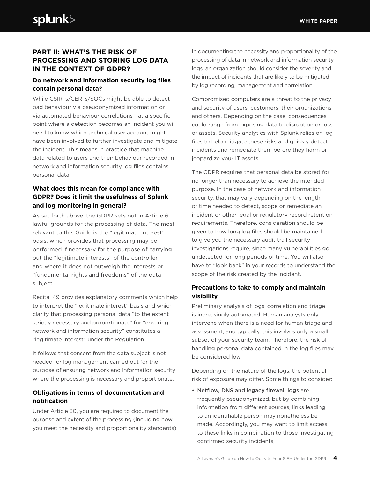# **PART II: WHAT'S THE RISK OF PROCESSING AND STORING LOG DATA IN THE CONTEXT OF GDPR?**

# **Do network and information security log files contain personal data?**

While CSIRTs/CERTs/SOCs might be able to detect bad behaviour via pseudonymized information or via automated behaviour correlations - at a specific point where a detection becomes an incident you will need to know which technical user account might have been involved to further investigate and mitigate the incident. This means in practice that machine data related to users and their behaviour recorded in network and information security log files contains personal data.

# **What does this mean for compliance with GDPR? Does it limit the usefulness of Splunk and log monitoring in general?**

As set forth above, the GDPR sets out in Article 6 lawful grounds for the processing of data. The most relevant to this Guide is the "legitimate interest" basis, which provides that processing may be performed if necessary for the purpose of carrying out the "legitimate interests" of the controller and where it does not outweigh the interests or "fundamental rights and freedoms" of the data subject.

Recital 49 provides explanatory comments which help to interpret the "legitimate interest" basis and which clarify that processing personal data "to the extent strictly necessary and proportionate" for "ensuring network and information security" constitutes a "legitimate interest" under the Regulation.

It follows that consent from the data subject is not needed for log management carried out for the purpose of ensuring network and information security where the processing is necessary and proportionate.

# **Obligations in terms of documentation and notification**

Under Article 30, you are required to document the purpose and extent of the processing (including how you meet the necessity and proportionality standards). In documenting the necessity and proportionality of the processing of data in network and information security logs, an organization should consider the severity and the impact of incidents that are likely to be mitigated by log recording, management and correlation.

Compromised computers are a threat to the privacy and security of users, customers, their organizations and others. Depending on the case, consequences could range from exposing data to disruption or loss of assets. Security analytics with Splunk relies on log files to help mitigate these risks and quickly detect incidents and remediate them before they harm or jeopardize your IT assets.

The GDPR requires that personal data be stored for no longer than necessary to achieve the intended purpose. In the case of network and information security, that may vary depending on the length of time needed to detect, scope or remediate an incident or other legal or regulatory record retention requirements. Therefore, consideration should be given to how long log files should be maintained to give you the necessary audit trail security investigations require, since many vulnerabilities go undetected for long periods of time. You will also have to "look back" in your records to understand the scope of the risk created by the incident.

# **Precautions to take to comply and maintain visibility**

Preliminary analysis of logs, correlation and triage is increasingly automated. Human analysts only intervene when there is a need for human triage and assessment, and typically, this involves only a small subset of your security team. Therefore, the risk of handling personal data contained in the log files may be considered low.

Depending on the nature of the logs, the potential risk of exposure may differ. Some things to consider:

• Netflow, DNS and legacy firewall logs are frequently pseudonymized, but by combining information from different sources, links leading to an identifiable person may nonetheless be made. Accordingly, you may want to limit access to these links in combination to those investigating confirmed security incidents;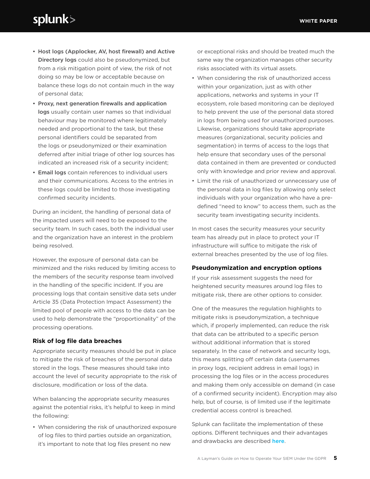- Host logs (Applocker, AV, host firewall) and Active Directory logs could also be pseudonymized, but from a risk mitigation point of view, the risk of not doing so may be low or acceptable because on balance these logs do not contain much in the way of personal data;
- Proxy, next generation firewalls and application logs usually contain user names so that individual behaviour may be monitored where legitimately needed and proportional to the task, but these personal identifiers could be separated from the logs or pseudonymized or their examination deferred after initial triage of other log sources has indicated an increased risk of a security incident;
- Email logs contain references to individual users and their communications. Access to the entries in these logs could be limited to those investigating confirmed security incidents.

During an incident, the handling of personal data of the impacted users will need to be exposed to the security team. In such cases, both the individual user and the organization have an interest in the problem being resolved.

However, the exposure of personal data can be minimized and the risks reduced by limiting access to the members of the security response team involved in the handling of the specific incident. If you are processing logs that contain sensitive data sets under Article 35 (Data Protection Impact Assessment) the limited pool of people with access to the data can be used to help demonstrate the "proportionality" of the processing operations.

#### **Risk of log file data breaches**

Appropriate security measures should be put in place to mitigate the risk of breaches of the personal data stored in the logs. These measures should take into account the level of security appropriate to the risk of disclosure, modification or loss of the data.

When balancing the appropriate security measures against the potential risks, it's helpful to keep in mind the following:

• When considering the risk of unauthorized exposure of log files to third parties outside an organization, it's important to note that log files present no new

or exceptional risks and should be treated much the same way the organization manages other security risks associated with its virtual assets.

- When considering the risk of unauthorized access within your organization, just as with other applications, networks and systems in your IT ecosystem, role based monitoring can be deployed to help prevent the use of the personal data stored in logs from being used for unauthorized purposes. Likewise, organizations should take appropriate measures (organizational, security policies and segmentation) in terms of access to the logs that help ensure that secondary uses of the personal data contained in them are prevented or conducted only with knowledge and prior review and approval.
- Limit the risk of unauthorized or unnecessary use of the personal data in log files by allowing only select individuals with your organization who have a predefined "need to know" to access them, such as the security team investigating security incidents.

In most cases the security measures your security team has already put in place to protect your IT infrastructure will suffice to mitigate the risk of external breaches presented by the use of log files.

#### **Pseudonymization and encryption options**

If your risk assessment suggests the need for heightened security measures around log files to mitigate risk, there are other options to consider.

One of the measures the regulation highlights to mitigate risks is pseudonymization, a technique which, if properly implemented, can reduce the risk that data can be attributed to a specific person without additional information that is stored separately. In the case of network and security logs, this means splitting off certain data (usernames in proxy logs, recipient address in email logs) in processing the log files or in the access procedures and making them only accessible on demand (in case of a confirmed security incident). Encryption may also help, but of course, is of limited use if the legitimate credential access control is breached.

Splunk can facilitate the implementation of these options. Different techniques and their advantages and drawbacks are described here.